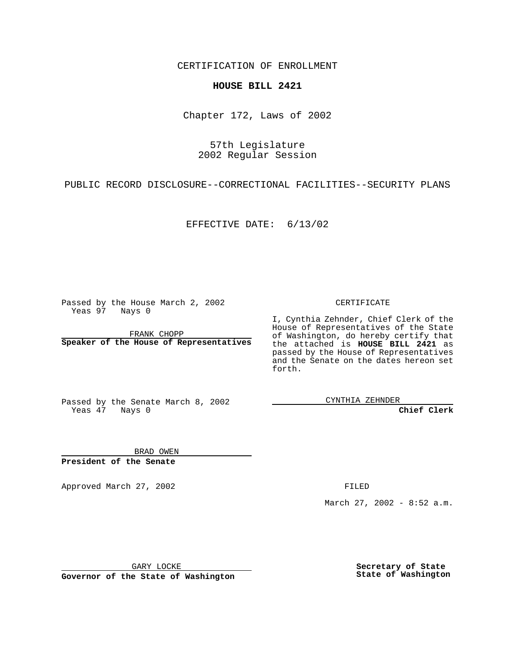CERTIFICATION OF ENROLLMENT

## **HOUSE BILL 2421**

Chapter 172, Laws of 2002

57th Legislature 2002 Regular Session

PUBLIC RECORD DISCLOSURE--CORRECTIONAL FACILITIES--SECURITY PLANS

EFFECTIVE DATE: 6/13/02

Passed by the House March 2, 2002 Yeas 97 Nays 0

FRANK CHOPP **Speaker of the House of Representatives** CERTIFICATE

I, Cynthia Zehnder, Chief Clerk of the House of Representatives of the State of Washington, do hereby certify that the attached is **HOUSE BILL 2421** as passed by the House of Representatives and the Senate on the dates hereon set forth.

Passed by the Senate March 8, 2002 Yeas  $\overline{47}$  Nays 0

CYNTHIA ZEHNDER

**Chief Clerk**

BRAD OWEN **President of the Senate**

Approved March 27, 2002 **FILED** 

March 27, 2002 - 8:52 a.m.

GARY LOCKE

**Governor of the State of Washington**

**Secretary of State State of Washington**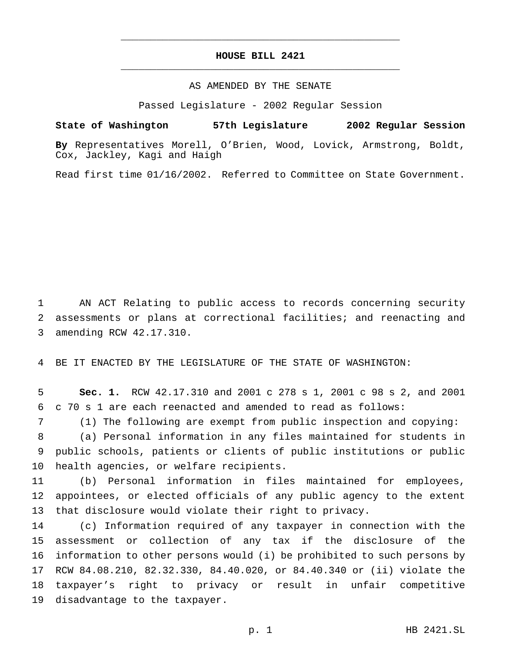## **HOUSE BILL 2421** \_\_\_\_\_\_\_\_\_\_\_\_\_\_\_\_\_\_\_\_\_\_\_\_\_\_\_\_\_\_\_\_\_\_\_\_\_\_\_\_\_\_\_\_\_\_\_

\_\_\_\_\_\_\_\_\_\_\_\_\_\_\_\_\_\_\_\_\_\_\_\_\_\_\_\_\_\_\_\_\_\_\_\_\_\_\_\_\_\_\_\_\_\_\_

## AS AMENDED BY THE SENATE

Passed Legislature - 2002 Regular Session

## **State of Washington 57th Legislature 2002 Regular Session**

**By** Representatives Morell, O'Brien, Wood, Lovick, Armstrong, Boldt, Cox, Jackley, Kagi and Haigh

Read first time 01/16/2002. Referred to Committee on State Government.

 AN ACT Relating to public access to records concerning security assessments or plans at correctional facilities; and reenacting and amending RCW 42.17.310.

BE IT ENACTED BY THE LEGISLATURE OF THE STATE OF WASHINGTON:

 **Sec. 1.** RCW 42.17.310 and 2001 c 278 s 1, 2001 c 98 s 2, and 2001 c 70 s 1 are each reenacted and amended to read as follows:

 (1) The following are exempt from public inspection and copying: (a) Personal information in any files maintained for students in

 public schools, patients or clients of public institutions or public health agencies, or welfare recipients.

 (b) Personal information in files maintained for employees, appointees, or elected officials of any public agency to the extent that disclosure would violate their right to privacy.

 (c) Information required of any taxpayer in connection with the assessment or collection of any tax if the disclosure of the information to other persons would (i) be prohibited to such persons by RCW 84.08.210, 82.32.330, 84.40.020, or 84.40.340 or (ii) violate the taxpayer's right to privacy or result in unfair competitive disadvantage to the taxpayer.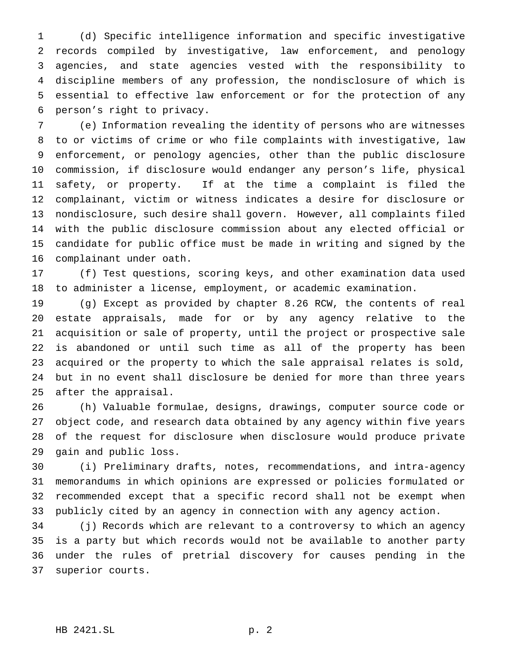(d) Specific intelligence information and specific investigative records compiled by investigative, law enforcement, and penology agencies, and state agencies vested with the responsibility to discipline members of any profession, the nondisclosure of which is essential to effective law enforcement or for the protection of any person's right to privacy.

 (e) Information revealing the identity of persons who are witnesses to or victims of crime or who file complaints with investigative, law enforcement, or penology agencies, other than the public disclosure commission, if disclosure would endanger any person's life, physical safety, or property. If at the time a complaint is filed the complainant, victim or witness indicates a desire for disclosure or nondisclosure, such desire shall govern. However, all complaints filed with the public disclosure commission about any elected official or candidate for public office must be made in writing and signed by the complainant under oath.

 (f) Test questions, scoring keys, and other examination data used to administer a license, employment, or academic examination.

 (g) Except as provided by chapter 8.26 RCW, the contents of real estate appraisals, made for or by any agency relative to the acquisition or sale of property, until the project or prospective sale is abandoned or until such time as all of the property has been acquired or the property to which the sale appraisal relates is sold, but in no event shall disclosure be denied for more than three years after the appraisal.

 (h) Valuable formulae, designs, drawings, computer source code or object code, and research data obtained by any agency within five years of the request for disclosure when disclosure would produce private gain and public loss.

 (i) Preliminary drafts, notes, recommendations, and intra-agency memorandums in which opinions are expressed or policies formulated or recommended except that a specific record shall not be exempt when publicly cited by an agency in connection with any agency action.

 (j) Records which are relevant to a controversy to which an agency is a party but which records would not be available to another party under the rules of pretrial discovery for causes pending in the superior courts.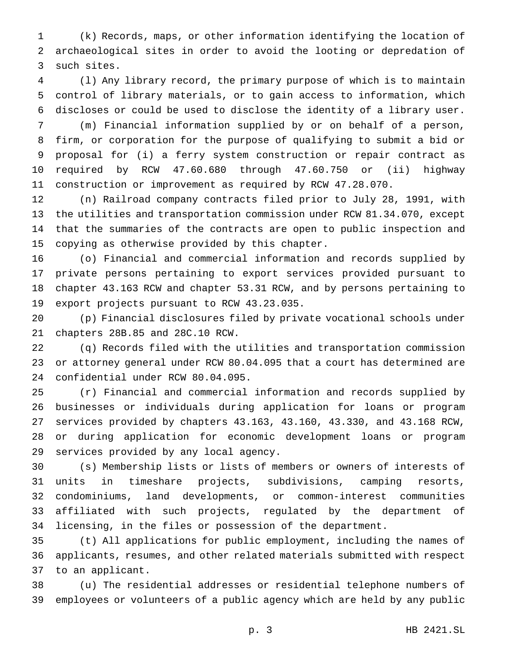(k) Records, maps, or other information identifying the location of archaeological sites in order to avoid the looting or depredation of such sites.

 (l) Any library record, the primary purpose of which is to maintain control of library materials, or to gain access to information, which discloses or could be used to disclose the identity of a library user.

 (m) Financial information supplied by or on behalf of a person, firm, or corporation for the purpose of qualifying to submit a bid or proposal for (i) a ferry system construction or repair contract as required by RCW 47.60.680 through 47.60.750 or (ii) highway construction or improvement as required by RCW 47.28.070.

 (n) Railroad company contracts filed prior to July 28, 1991, with the utilities and transportation commission under RCW 81.34.070, except that the summaries of the contracts are open to public inspection and copying as otherwise provided by this chapter.

 (o) Financial and commercial information and records supplied by private persons pertaining to export services provided pursuant to chapter 43.163 RCW and chapter 53.31 RCW, and by persons pertaining to export projects pursuant to RCW 43.23.035.

 (p) Financial disclosures filed by private vocational schools under chapters 28B.85 and 28C.10 RCW.

 (q) Records filed with the utilities and transportation commission or attorney general under RCW 80.04.095 that a court has determined are confidential under RCW 80.04.095.

 (r) Financial and commercial information and records supplied by businesses or individuals during application for loans or program services provided by chapters 43.163, 43.160, 43.330, and 43.168 RCW, or during application for economic development loans or program services provided by any local agency.

 (s) Membership lists or lists of members or owners of interests of units in timeshare projects, subdivisions, camping resorts, condominiums, land developments, or common-interest communities affiliated with such projects, regulated by the department of licensing, in the files or possession of the department.

 (t) All applications for public employment, including the names of applicants, resumes, and other related materials submitted with respect to an applicant.

 (u) The residential addresses or residential telephone numbers of employees or volunteers of a public agency which are held by any public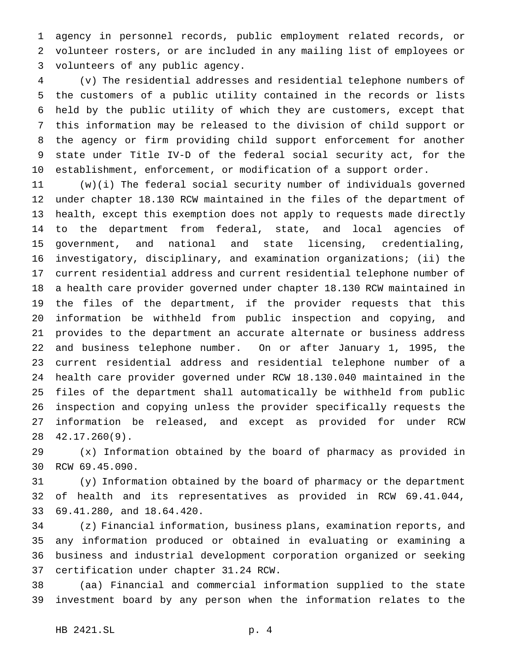agency in personnel records, public employment related records, or volunteer rosters, or are included in any mailing list of employees or volunteers of any public agency.

 (v) The residential addresses and residential telephone numbers of the customers of a public utility contained in the records or lists held by the public utility of which they are customers, except that this information may be released to the division of child support or the agency or firm providing child support enforcement for another state under Title IV-D of the federal social security act, for the establishment, enforcement, or modification of a support order.

 (w)(i) The federal social security number of individuals governed under chapter 18.130 RCW maintained in the files of the department of health, except this exemption does not apply to requests made directly to the department from federal, state, and local agencies of government, and national and state licensing, credentialing, investigatory, disciplinary, and examination organizations; (ii) the current residential address and current residential telephone number of a health care provider governed under chapter 18.130 RCW maintained in the files of the department, if the provider requests that this information be withheld from public inspection and copying, and provides to the department an accurate alternate or business address and business telephone number. On or after January 1, 1995, the current residential address and residential telephone number of a health care provider governed under RCW 18.130.040 maintained in the files of the department shall automatically be withheld from public inspection and copying unless the provider specifically requests the information be released, and except as provided for under RCW 42.17.260(9).

 (x) Information obtained by the board of pharmacy as provided in RCW 69.45.090.

 (y) Information obtained by the board of pharmacy or the department of health and its representatives as provided in RCW 69.41.044, 69.41.280, and 18.64.420.

 (z) Financial information, business plans, examination reports, and any information produced or obtained in evaluating or examining a business and industrial development corporation organized or seeking certification under chapter 31.24 RCW.

 (aa) Financial and commercial information supplied to the state investment board by any person when the information relates to the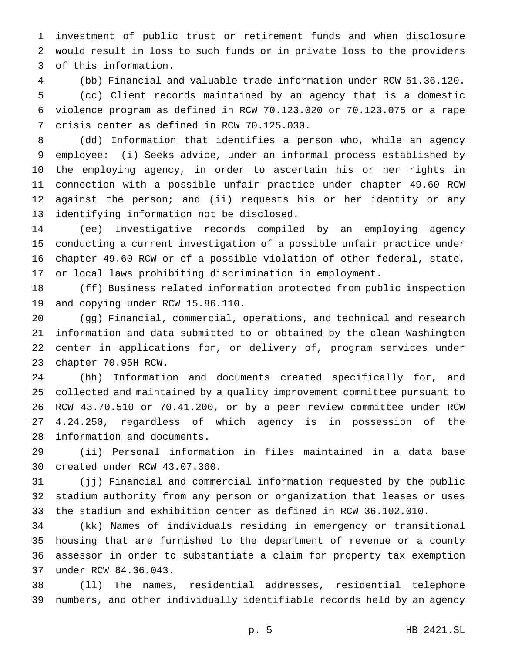investment of public trust or retirement funds and when disclosure would result in loss to such funds or in private loss to the providers of this information.

 (bb) Financial and valuable trade information under RCW 51.36.120. (cc) Client records maintained by an agency that is a domestic violence program as defined in RCW 70.123.020 or 70.123.075 or a rape crisis center as defined in RCW 70.125.030.

 (dd) Information that identifies a person who, while an agency employee: (i) Seeks advice, under an informal process established by the employing agency, in order to ascertain his or her rights in connection with a possible unfair practice under chapter 49.60 RCW against the person; and (ii) requests his or her identity or any identifying information not be disclosed.

 (ee) Investigative records compiled by an employing agency conducting a current investigation of a possible unfair practice under chapter 49.60 RCW or of a possible violation of other federal, state, or local laws prohibiting discrimination in employment.

 (ff) Business related information protected from public inspection and copying under RCW 15.86.110.

 (gg) Financial, commercial, operations, and technical and research information and data submitted to or obtained by the clean Washington center in applications for, or delivery of, program services under chapter 70.95H RCW.

 (hh) Information and documents created specifically for, and collected and maintained by a quality improvement committee pursuant to RCW 43.70.510 or 70.41.200, or by a peer review committee under RCW 4.24.250, regardless of which agency is in possession of the information and documents.

 (ii) Personal information in files maintained in a data base created under RCW 43.07.360.

 (jj) Financial and commercial information requested by the public stadium authority from any person or organization that leases or uses the stadium and exhibition center as defined in RCW 36.102.010.

 (kk) Names of individuals residing in emergency or transitional housing that are furnished to the department of revenue or a county assessor in order to substantiate a claim for property tax exemption under RCW 84.36.043.

 (ll) The names, residential addresses, residential telephone numbers, and other individually identifiable records held by an agency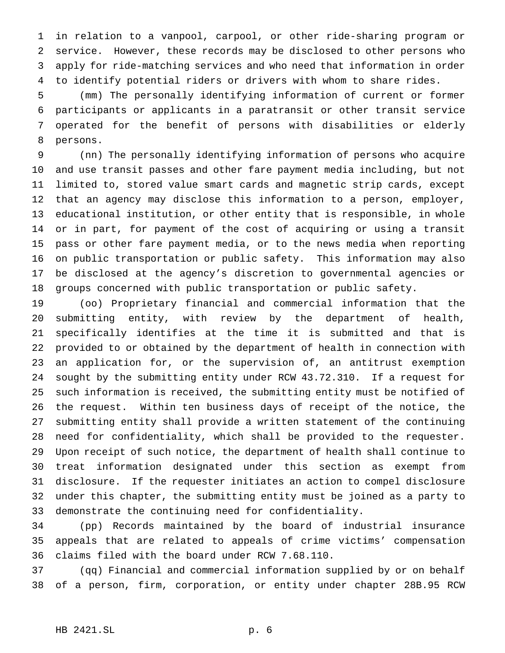in relation to a vanpool, carpool, or other ride-sharing program or service. However, these records may be disclosed to other persons who apply for ride-matching services and who need that information in order to identify potential riders or drivers with whom to share rides.

 (mm) The personally identifying information of current or former participants or applicants in a paratransit or other transit service operated for the benefit of persons with disabilities or elderly persons.

 (nn) The personally identifying information of persons who acquire and use transit passes and other fare payment media including, but not limited to, stored value smart cards and magnetic strip cards, except that an agency may disclose this information to a person, employer, educational institution, or other entity that is responsible, in whole or in part, for payment of the cost of acquiring or using a transit pass or other fare payment media, or to the news media when reporting on public transportation or public safety. This information may also be disclosed at the agency's discretion to governmental agencies or groups concerned with public transportation or public safety.

 (oo) Proprietary financial and commercial information that the submitting entity, with review by the department of health, specifically identifies at the time it is submitted and that is provided to or obtained by the department of health in connection with an application for, or the supervision of, an antitrust exemption sought by the submitting entity under RCW 43.72.310. If a request for such information is received, the submitting entity must be notified of the request. Within ten business days of receipt of the notice, the submitting entity shall provide a written statement of the continuing need for confidentiality, which shall be provided to the requester. Upon receipt of such notice, the department of health shall continue to treat information designated under this section as exempt from disclosure. If the requester initiates an action to compel disclosure under this chapter, the submitting entity must be joined as a party to demonstrate the continuing need for confidentiality.

 (pp) Records maintained by the board of industrial insurance appeals that are related to appeals of crime victims' compensation claims filed with the board under RCW 7.68.110.

 (qq) Financial and commercial information supplied by or on behalf of a person, firm, corporation, or entity under chapter 28B.95 RCW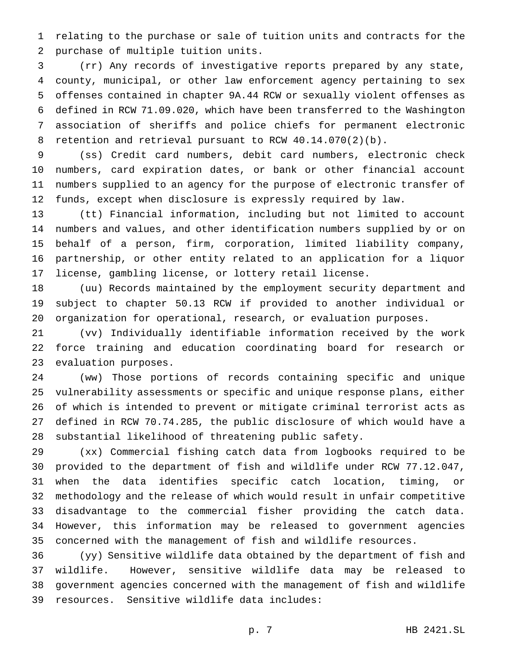relating to the purchase or sale of tuition units and contracts for the purchase of multiple tuition units.

 (rr) Any records of investigative reports prepared by any state, county, municipal, or other law enforcement agency pertaining to sex offenses contained in chapter 9A.44 RCW or sexually violent offenses as defined in RCW 71.09.020, which have been transferred to the Washington association of sheriffs and police chiefs for permanent electronic retention and retrieval pursuant to RCW 40.14.070(2)(b).

 (ss) Credit card numbers, debit card numbers, electronic check numbers, card expiration dates, or bank or other financial account numbers supplied to an agency for the purpose of electronic transfer of funds, except when disclosure is expressly required by law.

 (tt) Financial information, including but not limited to account numbers and values, and other identification numbers supplied by or on behalf of a person, firm, corporation, limited liability company, partnership, or other entity related to an application for a liquor license, gambling license, or lottery retail license.

 (uu) Records maintained by the employment security department and subject to chapter 50.13 RCW if provided to another individual or organization for operational, research, or evaluation purposes.

 (vv) Individually identifiable information received by the work force training and education coordinating board for research or evaluation purposes.

 (ww) Those portions of records containing specific and unique vulnerability assessments or specific and unique response plans, either of which is intended to prevent or mitigate criminal terrorist acts as defined in RCW 70.74.285, the public disclosure of which would have a substantial likelihood of threatening public safety.

 (xx) Commercial fishing catch data from logbooks required to be provided to the department of fish and wildlife under RCW 77.12.047, when the data identifies specific catch location, timing, or methodology and the release of which would result in unfair competitive disadvantage to the commercial fisher providing the catch data. However, this information may be released to government agencies concerned with the management of fish and wildlife resources.

 (yy) Sensitive wildlife data obtained by the department of fish and wildlife. However, sensitive wildlife data may be released to government agencies concerned with the management of fish and wildlife resources. Sensitive wildlife data includes: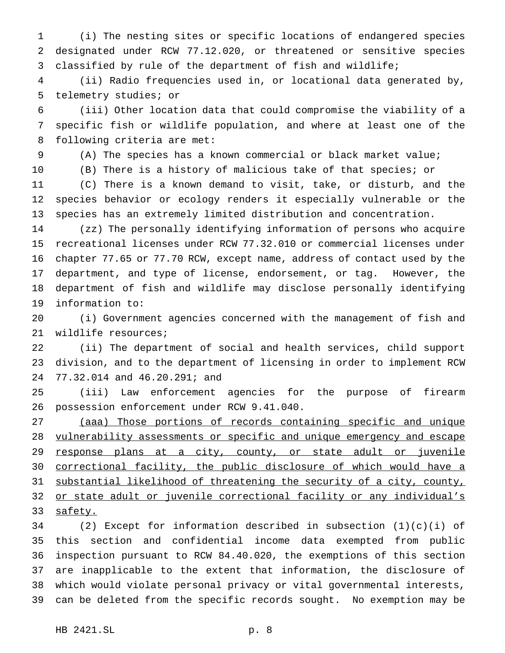(i) The nesting sites or specific locations of endangered species designated under RCW 77.12.020, or threatened or sensitive species classified by rule of the department of fish and wildlife;

 (ii) Radio frequencies used in, or locational data generated by, telemetry studies; or

 (iii) Other location data that could compromise the viability of a specific fish or wildlife population, and where at least one of the following criteria are met:

(A) The species has a known commercial or black market value;

(B) There is a history of malicious take of that species; or

 (C) There is a known demand to visit, take, or disturb, and the species behavior or ecology renders it especially vulnerable or the species has an extremely limited distribution and concentration.

 (zz) The personally identifying information of persons who acquire recreational licenses under RCW 77.32.010 or commercial licenses under chapter 77.65 or 77.70 RCW, except name, address of contact used by the department, and type of license, endorsement, or tag. However, the department of fish and wildlife may disclose personally identifying information to:

 (i) Government agencies concerned with the management of fish and wildlife resources;

 (ii) The department of social and health services, child support division, and to the department of licensing in order to implement RCW 77.32.014 and 46.20.291; and

 (iii) Law enforcement agencies for the purpose of firearm possession enforcement under RCW 9.41.040.

 (aaa) Those portions of records containing specific and unique vulnerability assessments or specific and unique emergency and escape 29 response plans at a city, county, or state adult or juvenile correctional facility, the public disclosure of which would have a substantial likelihood of threatening the security of a city, county, 32 or state adult or juvenile correctional facility or any individual's 33 safety.

 (2) Except for information described in subsection (1)(c)(i) of this section and confidential income data exempted from public inspection pursuant to RCW 84.40.020, the exemptions of this section are inapplicable to the extent that information, the disclosure of which would violate personal privacy or vital governmental interests, can be deleted from the specific records sought. No exemption may be